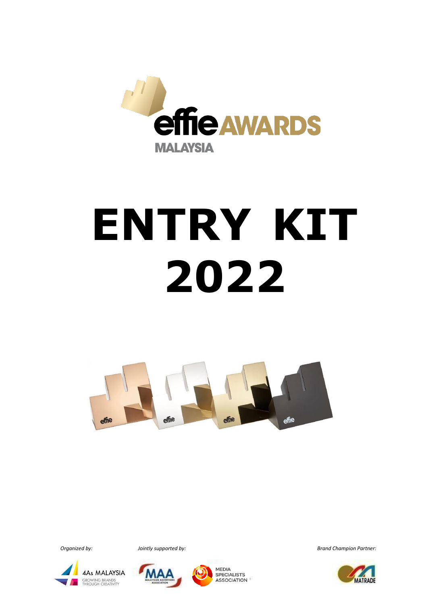

# **ENTRY KIT 2022**







**MEDIA SPECIALISTS ASSOCIATION** 

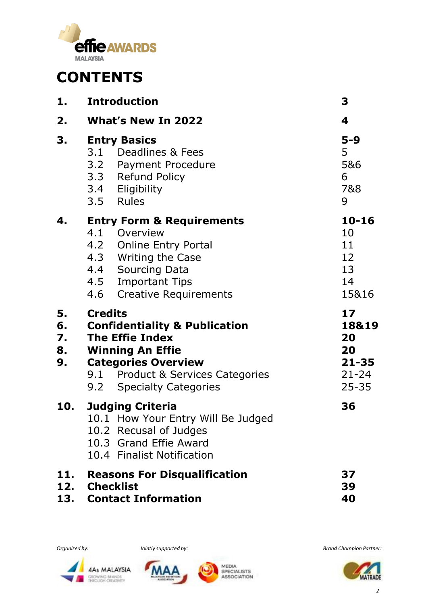

## **CONTENTS**

| 1.                         | <b>Introduction</b>                                                                                                                                                                                            | 3                                                              |
|----------------------------|----------------------------------------------------------------------------------------------------------------------------------------------------------------------------------------------------------------|----------------------------------------------------------------|
| 2.                         | <b>What's New In 2022</b>                                                                                                                                                                                      | 4                                                              |
| 3.                         | <b>Entry Basics</b><br>3.1 Deadlines & Fees<br>3.2 Payment Procedure<br>3.3 Refund Policy<br>3.4 Eligibility<br>3.5 Rules                                                                                      | $5-9$<br>5<br>5&6<br>6<br>7&8<br>9                             |
| 4.                         | <b>Entry Form &amp; Requirements</b><br>4.1 Overview<br>4.2 Online Entry Portal<br>4.3 Writing the Case<br>4.4 Sourcing Data<br>4.5 Important Tips<br>4.6 Creative Requirements                                | $10 - 16$<br>10<br>11<br>12<br>13<br>14<br>15&16               |
| 5.<br>6.<br>7.<br>8.<br>9. | <b>Credits</b><br><b>Confidentiality &amp; Publication</b><br><b>The Effie Index</b><br><b>Winning An Effie</b><br><b>Categories Overview</b><br>9.1 Product & Services Categories<br>9.2 Specialty Categories | 17<br>18&19<br>20<br>20<br>$21 - 35$<br>$21 - 24$<br>$25 - 35$ |
| 10.                        | <b>Judging Criteria</b><br>10.1 How Your Entry Will Be Judged<br>10.2 Recusal of Judges<br>10.3 Grand Effie Award<br>10.4 Finalist Notification                                                                | 36                                                             |
| 11.                        | <b>Reasons For Disqualification</b><br>12. Checklist<br>13. Contact Information                                                                                                                                | 37<br>39<br>40                                                 |







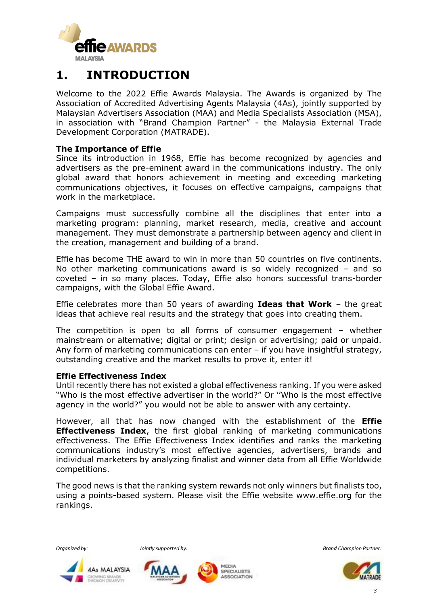

## **1. INTRODUCTION**

Welcome to the 2022 Effie Awards Malaysia. The Awards is organized by The Association of Accredited Advertising Agents Malaysia (4As), jointly supported by Malaysian Advertisers Association (MAA) and Media Specialists Association (MSA), in association with "Brand Champion Partner" - the Malaysia External Trade Development Corporation (MATRADE).

#### **The Importance of Effie**

Since its introduction in 1968, Effie has become recognized by agencies and advertisers as the pre-eminent award in the communications industry. The only global award that honors achievement in meeting and exceeding marketing communications objectives, it focuses on effective campaigns, campaigns that work in the marketplace.

Campaigns must successfully combine all the disciplines that enter into a marketing program: planning, market research, media, creative and account management. They must demonstrate a partnership between agency and client in the creation, management and building of a brand.

Effie has become THE award to win in more than 50 countries on five continents. No other marketing communications award is so widely recognized – and so coveted – in so many places. Today, Effie also honors successful trans-border campaigns, with the Global Effie Award.

Effie celebrates more than 50 years of awarding **Ideas that Work** – the great ideas that achieve real results and the strategy that goes into creating them.

The competition is open to all forms of consumer engagement – whether mainstream or alternative; digital or print; design or advertising; paid or unpaid. Any form of marketing communications can enter – if you have insightful strategy, outstanding creative and the market results to prove it, enter it!

#### **Effie Effectiveness Index**

Until recently there has not existed a global effectiveness ranking. If you were asked "Who is the most effective advertiser in the world?" Or ''Who is the most effective agency in the world?" you would not be able to answer with any certainty.

However, all that has now changed with the establishment of the **Effie Effectiveness Index**, the first global ranking of marketing communications effectiveness. The Effie Effectiveness Index identifies and ranks the marketing communications industry's most effective agencies, advertisers, brands and individual marketers by analyzing finalist and winner data from all Effie Worldwide competitions.

The good news is that the ranking system rewards not only winners but finalists too, using a points-based system. Please visit the Effie website [www.effie.org](http://www.effie.org/) for the rankings.



**4As MALAYSIA** 

GROWING BRANDS<br>THROUGH CREATIVITY





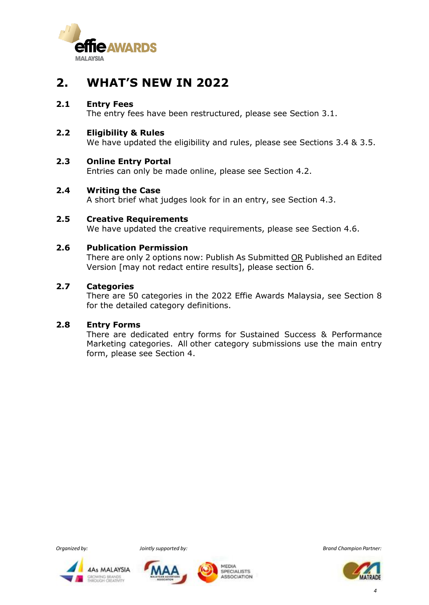

## **2. WHAT'S NEW IN 2022**

#### **2.1 Entry Fees**

The entry fees have been restructured, please see Section 3.1.

#### **2.2 Eligibility & Rules**

We have updated the eligibility and rules, please see Sections 3.4 & 3.5.

#### **2.3 Online Entry Portal**

Entries can only be made online, please see Section 4.2.

#### **2.4 Writing the Case**

A short brief what judges look for in an entry, see Section 4.3.

## **2.5 Creative Requirements**

We have updated the creative requirements, please see Section 4.6.

#### **2.6 Publication Permission**

There are only 2 options now: Publish As Submitted OR Published an Edited Version [may not redact entire results], please section 6.

#### **2.7 Categories**

There are 50 categories in the 2022 Effie Awards Malaysia, see Section 8 for the detailed category definitions.

#### **2.8 Entry Forms**

There are dedicated entry forms for Sustained Success & Performance Marketing categories. All other category submissions use the main entry form, please see Section 4.







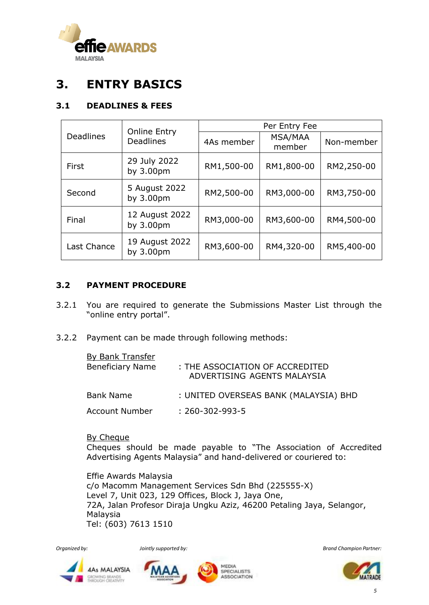

## **3. ENTRY BASICS**

#### **3.1 DEADLINES & FEES**

|                  | <b>Online Entry</b><br><b>Deadlines</b> | Per Entry Fee |                          |            |
|------------------|-----------------------------------------|---------------|--------------------------|------------|
| <b>Deadlines</b> |                                         | 4As member    | <b>MSA/MAA</b><br>member | Non-member |
| First            | 29 July 2022<br>by 3.00pm               | RM1,500-00    | RM1,800-00               | RM2,250-00 |
| Second           | 5 August 2022<br>by 3.00pm              | RM2,500-00    | RM3,000-00               | RM3,750-00 |
| Final            | 12 August 2022<br>by 3.00pm             | RM3,000-00    | RM3,600-00               | RM4,500-00 |
| Last Chance      | 19 August 2022<br>by 3.00pm             | RM3,600-00    | RM4,320-00               | RM5,400-00 |

#### **3.2 PAYMENT PROCEDURE**

- 3.2.1 You are required to generate the Submissions Master List through the "online entry portal".
- 3.2.2 Payment can be made through following methods:

| <b>By Bank Transfer</b><br><b>Beneficiary Name</b> | : THE ASSOCIATION OF ACCREDITED<br>ADVERTISING AGENTS MALAYSIA |
|----------------------------------------------------|----------------------------------------------------------------|
| <b>Bank Name</b>                                   | : UNITED OVERSEAS BANK (MALAYSIA) BHD                          |
| Account Number                                     | $: 260 - 302 - 993 - 5$                                        |

By Cheque Cheques should be made payable to "The Association of Accredited Advertising Agents Malaysia" and hand-delivered or couriered to:

Effie Awards Malaysia c/o Macomm Management Services Sdn Bhd (225555-X) Level 7, Unit 023, 129 Offices, Block J, Jaya One, 72A, Jalan Profesor Diraja Ungku Aziz, 46200 Petaling Jaya, Selangor, Malaysia Tel: (603) 7613 1510









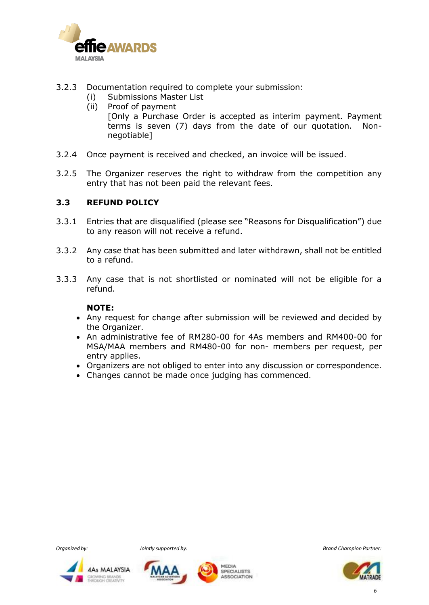

- 3.2.3 Documentation required to complete your submission:
	- (i) Submissions Master List
	- (ii) Proof of payment

[Only a Purchase Order is accepted as interim payment. Payment terms is seven (7) days from the date of our quotation. Nonnegotiable]

- 3.2.4 Once payment is received and checked, an invoice will be issued.
- 3.2.5 The Organizer reserves the right to withdraw from the competition any entry that has not been paid the relevant fees.

#### **3.3 REFUND POLICY**

- 3.3.1 Entries that are disqualified (please see "Reasons for Disqualification") due to any reason will not receive a refund.
- 3.3.2 Any case that has been submitted and later withdrawn, shall not be entitled to a refund.
- 3.3.3 Any case that is not shortlisted or nominated will not be eligible for a refund.

#### **NOTE:**

- Any request for change after submission will be reviewed and decided by the Organizer.
- An administrative fee of RM280-00 for 4As members and RM400-00 for MSA/MAA members and RM480-00 for non- members per request, per entry applies.
- Organizers are not obliged to enter into any discussion or correspondence.
- Changes cannot be made once judging has commenced.









*Organized by: Jointly supported by: Brand Champion Partner:*



 *6*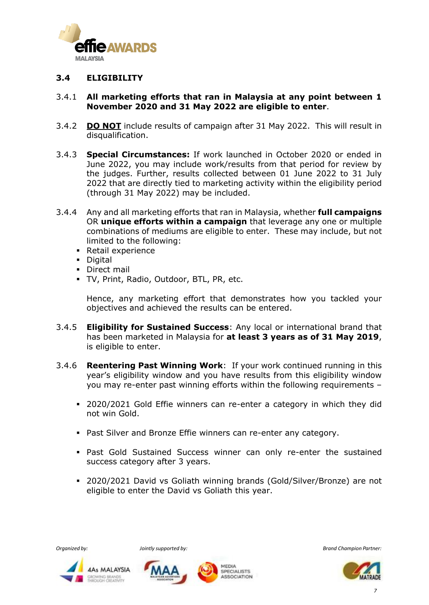

#### **3.4 ELIGIBILITY**

#### 3.4.1 **All marketing efforts that ran in Malaysia at any point between 1 November 2020 and 31 May 2022 are eligible to enter**.

- 3.4.2 **DO NOT** include results of campaign after 31 May 2022. This will result in disqualification.
- 3.4.3 **Special Circumstances:** If work launched in October 2020 or ended in June 2022, you may include work/results from that period for review by the judges. Further, results collected between 01 June 2022 to 31 July 2022 that are directly tied to marketing activity within the eligibility period (through 31 May 2022) may be included.
- 3.4.4 Any and all marketing efforts that ran in Malaysia, whether **full campaigns** OR **unique efforts within a campaign** that leverage any one or multiple combinations of mediums are eligible to enter. These may include, but not limited to the following:
	- Retail experience
	- Digital
	- **•** Direct mail
	- TV, Print, Radio, Outdoor, BTL, PR, etc.

Hence, any marketing effort that demonstrates how you tackled your objectives and achieved the results can be entered.

- 3.4.5 **Eligibility for Sustained Success**: Any local or international brand that has been marketed in Malaysia for **at least 3 years as of 31 May 2019**, is eligible to enter.
- 3.4.6 **Reentering Past Winning Work**: If your work continued running in this year's eligibility window and you have results from this eligibility window you may re-enter past winning efforts within the following requirements –
	- 2020/2021 Gold Effie winners can re-enter a category in which they did not win Gold.
	- Past Silver and Bronze Effie winners can re-enter any category.
	- **Past Gold Sustained Success winner can only re-enter the sustained** success category after 3 years.
	- 2020/2021 David vs Goliath winning brands (Gold/Silver/Bronze) are not eligible to enter the David vs Goliath this year.







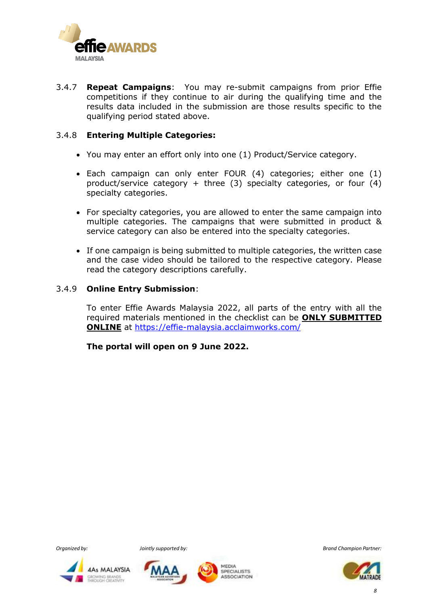

3.4.7 **Repeat Campaigns**: You may re-submit campaigns from prior Effie competitions if they continue to air during the qualifying time and the results data included in the submission are those results specific to the qualifying period stated above.

#### 3.4.8 **Entering Multiple Categories:**

- You may enter an effort only into one (1) Product/Service category.
- Each campaign can only enter FOUR (4) categories; either one (1) product/service category + three (3) specialty categories, or four (4) specialty categories.
- For specialty categories, you are allowed to enter the same campaign into multiple categories. The campaigns that were submitted in product & service category can also be entered into the specialty categories.
- If one campaign is being submitted to multiple categories, the written case and the case video should be tailored to the respective category. Please read the category descriptions carefully.

#### 3.4.9 **Online Entry Submission**:

To enter Effie Awards Malaysia 2022, all parts of the entry with all the required materials mentioned in the checklist can be **ONLY SUBMITTED ONLINE** at https://effie-malaysia.acclaimworks.com/

**The portal will open on 9 June 2022.**







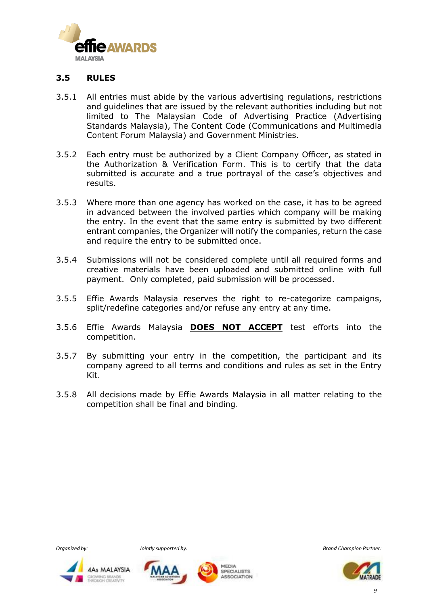

#### **3.5 RULES**

- 3.5.1 All entries must abide by the various advertising regulations, restrictions and guidelines that are issued by the relevant authorities including but not limited to The Malaysian Code of Advertising Practice (Advertising Standards Malaysia), The Content Code (Communications and Multimedia Content Forum Malaysia) and Government Ministries.
- 3.5.2 Each entry must be authorized by a Client Company Officer, as stated in the Authorization & Verification Form. This is to certify that the data submitted is accurate and a true portrayal of the case's objectives and results.
- 3.5.3 Where more than one agency has worked on the case, it has to be agreed in advanced between the involved parties which company will be making the entry. In the event that the same entry is submitted by two different entrant companies, the Organizer will notify the companies, return the case and require the entry to be submitted once.
- 3.5.4 Submissions will not be considered complete until all required forms and creative materials have been uploaded and submitted online with full payment. Only completed, paid submission will be processed.
- 3.5.5 Effie Awards Malaysia reserves the right to re-categorize campaigns, split/redefine categories and/or refuse any entry at any time.
- 3.5.6 Effie Awards Malaysia **DOES NOT ACCEPT** test efforts into the competition.
- 3.5.7 By submitting your entry in the competition, the participant and its company agreed to all terms and conditions and rules as set in the Entry Kit.
- 3.5.8 All decisions made by Effie Awards Malaysia in all matter relating to the competition shall be final and binding.







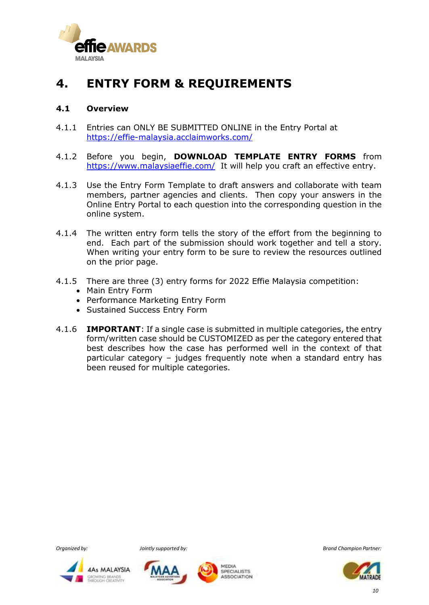

## **4. ENTRY FORM & REQUIREMENTS**

#### **4.1 Overview**

- 4.1.1 Entries can ONLY BE SUBMITTED ONLINE in the Entry Portal at <https://effie-malaysia.acclaimworks.com/>
- 4.1.2 Before you begin, **DOWNLOAD TEMPLATE ENTRY FORMS** from <https://www.malaysiaeffie.com/> It will help you craft an effective entry.
- 4.1.3 Use the Entry Form Template to draft answers and collaborate with team members, partner agencies and clients. Then copy your answers in the Online Entry Portal to each question into the corresponding question in the online system.
- 4.1.4 The written entry form tells the story of the effort from the beginning to end. Each part of the submission should work together and tell a story. When writing your entry form to be sure to review the resources outlined on the prior page.
- 4.1.5 There are three (3) entry forms for 2022 Effie Malaysia competition:
	- Main Entry Form
	- Performance Marketing Entry Form
	- Sustained Success Entry Form
- 4.1.6 **IMPORTANT**: If a single case is submitted in multiple categories, the entry form/written case should be CUSTOMIZED as per the category entered that best describes how the case has performed well in the context of that particular category – judges frequently note when a standard entry has been reused for multiple categories.







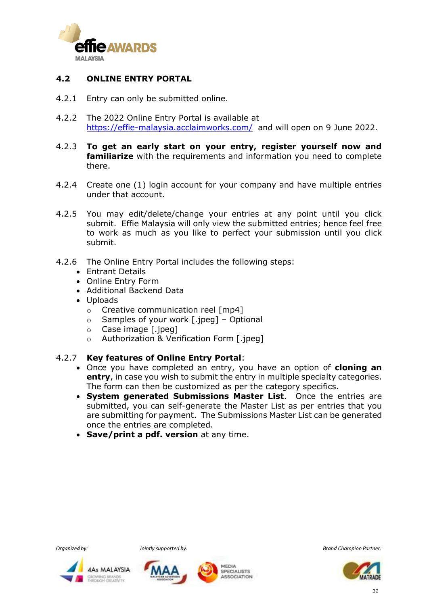

#### **4.2 ONLINE ENTRY PORTAL**

- 4.2.1 Entry can only be submitted online.
- 4.2.2 The 2022 Online Entry Portal is available at <https://effie-malaysia.acclaimworks.com/> and will open on 9 June 2022.
- 4.2.3 **To get an early start on your entry, register yourself now and familiarize** with the requirements and information you need to complete there.
- 4.2.4 Create one (1) login account for your company and have multiple entries under that account.
- 4.2.5 You may edit/delete/change your entries at any point until you click submit. Effie Malaysia will only view the submitted entries; hence feel free to work as much as you like to perfect your submission until you click submit.
- 4.2.6 The Online Entry Portal includes the following steps:
	- Entrant Details
	- Online Entry Form
	- Additional Backend Data
	- Uploads
		- o Creative communication reel [mp4]
		- o Samples of your work [.jpeg] Optional
		- o Case image [.jpeg]
		- o Authorization & Verification Form [.jpeg]

#### 4.2.7 **Key features of Online Entry Portal**:

- Once you have completed an entry, you have an option of **cloning an entry**, in case you wish to submit the entry in multiple specialty categories. The form can then be customized as per the category specifics.
- **System generated Submissions Master List**. Once the entries are submitted, you can self-generate the Master List as per entries that you are submitting for payment. The Submissions Master List can be generated once the entries are completed.
- **Save/print a pdf. version** at any time.







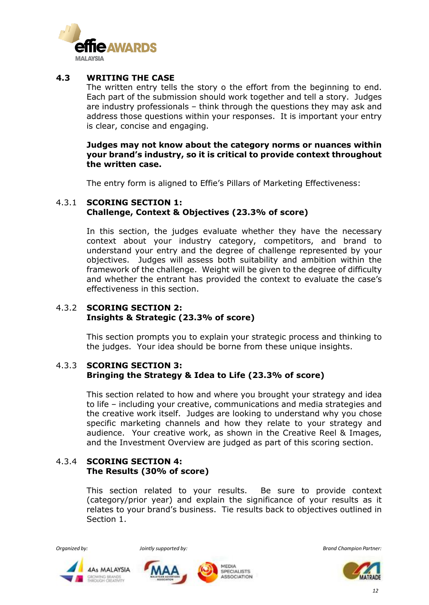

#### **4.3 WRITING THE CASE**

The written entry tells the story o the effort from the beginning to end. Each part of the submission should work together and tell a story. Judges are industry professionals – think through the questions they may ask and address those questions within your responses. It is important your entry is clear, concise and engaging.

#### **Judges may not know about the category norms or nuances within your brand's industry, so it is critical to provide context throughout the written case.**

The entry form is aligned to Effie's Pillars of Marketing Effectiveness:

#### 4.3.1 **SCORING SECTION 1: Challenge, Context & Objectives (23.3% of score)**

In this section, the judges evaluate whether they have the necessary context about your industry category, competitors, and brand to understand your entry and the degree of challenge represented by your objectives. Judges will assess both suitability and ambition within the framework of the challenge. Weight will be given to the degree of difficulty and whether the entrant has provided the context to evaluate the case's effectiveness in this section.

#### 4.3.2 **SCORING SECTION 2: Insights & Strategic (23.3% of score)**

This section prompts you to explain your strategic process and thinking to the judges. Your idea should be borne from these unique insights.

#### 4.3.3 **SCORING SECTION 3: Bringing the Strategy & Idea to Life (23.3% of score)**

This section related to how and where you brought your strategy and idea to life – including your creative, communications and media strategies and the creative work itself. Judges are looking to understand why you chose specific marketing channels and how they relate to your strategy and audience. Your creative work, as shown in the Creative Reel & Images, and the Investment Overview are judged as part of this scoring section.

#### 4.3.4 **SCORING SECTION 4: The Results (30% of score)**

This section related to your results. Be sure to provide context (category/prior year) and explain the significance of your results as it relates to your brand's business. Tie results back to objectives outlined in Section 1.







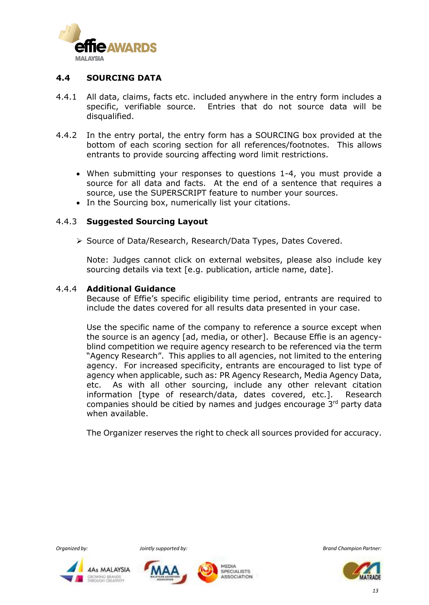

#### **4.4 SOURCING DATA**

- 4.4.1 All data, claims, facts etc. included anywhere in the entry form includes a specific, verifiable source. Entries that do not source data will be disqualified.
- 4.4.2 In the entry portal, the entry form has a SOURCING box provided at the bottom of each scoring section for all references/footnotes. This allows entrants to provide sourcing affecting word limit restrictions.
	- When submitting your responses to questions 1-4, you must provide a source for all data and facts. At the end of a sentence that requires a source, use the SUPERSCRIPT feature to number your sources.
	- In the Sourcing box, numerically list your citations.

#### 4.4.3 **Suggested Sourcing Layout**

➢ Source of Data/Research, Research/Data Types, Dates Covered.

Note: Judges cannot click on external websites, please also include key sourcing details via text [e.g. publication, article name, date].

#### 4.4.4 **Additional Guidance**

Because of Effie's specific eligibility time period, entrants are required to include the dates covered for all results data presented in your case.

Use the specific name of the company to reference a source except when the source is an agency [ad, media, or other]. Because Effie is an agencyblind competition we require agency research to be referenced via the term "Agency Research". This applies to all agencies, not limited to the entering agency. For increased specificity, entrants are encouraged to list type of agency when applicable, such as: PR Agency Research, Media Agency Data, etc. As with all other sourcing, include any other relevant citation information [type of research/data, dates covered, etc.]. Research companies should be citied by names and judges encourage 3rd party data when available.

The Organizer reserves the right to check all sources provided for accuracy.







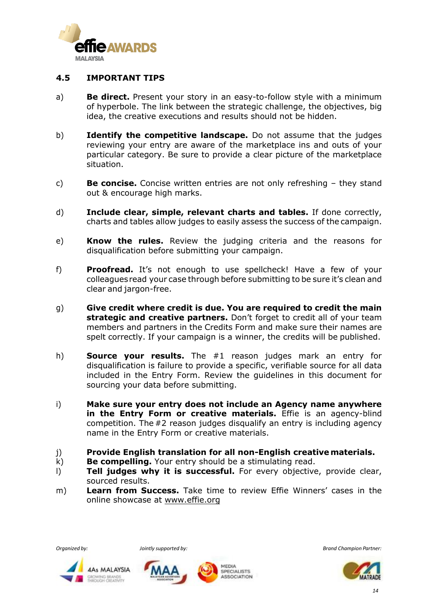

#### **4.5 IMPORTANT TIPS**

- a) **Be direct.** Present your story in an easy-to-follow style with a minimum of hyperbole. The link between the strategic challenge, the objectives, big idea, the creative executions and results should not be hidden.
- b) **Identify the competitive landscape.** Do not assume that the judges reviewing your entry are aware of the marketplace ins and outs of your particular category. Be sure to provide a clear picture of the marketplace situation.
- c) **Be concise.** Concise written entries are not only refreshing they stand out & encourage high marks.
- d) **Include clear, simple, relevant charts and tables.** If done correctly, charts and tables allow judges to easily assess the success of the campaign.
- e) **Know the rules.** Review the judging criteria and the reasons for disqualification before submitting your campaign.
- f) **Proofread.** It's not enough to use spellcheck! Have a few of your colleaguesread your case through before submitting to be sure it's clean and clear and jargon-free.
- g) **Give credit where credit is due. You are required to credit the main strategic and creative partners.** Don't forget to credit all of your team members and partners in the Credits Form and make sure their names are spelt correctly. If your campaign is a winner, the credits will be published.
- h) **Source your results.** The #1 reason judges mark an entry for disqualification is failure to provide a specific, verifiable source for all data included in the Entry Form. Review the guidelines in this document for sourcing your data before submitting.
- i) **Make sure your entry does not include an Agency name anywhere in the Entry Form or creative materials.** Effie is an agency-blind competition. The #2 reason judges disqualify an entry is including agency name in the Entry Form or creative materials.
- j) **Provide English translation for all non-English creativematerials.**
- k) **Be compelling.** Your entry should be a stimulating read.
- l) **Tell judges why it is successful.** For every objective, provide clear, sourced results.
- m) **Learn from Success.** Take time to review Effie Winners' cases in the online showcase at [www.effie.org](http://www.effie.org/)





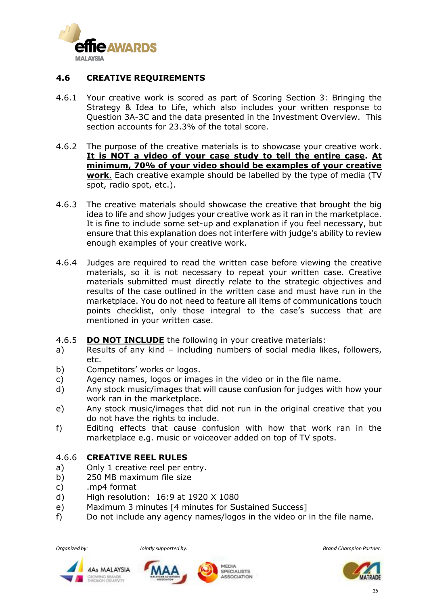

#### **4.6 CREATIVE REQUIREMENTS**

- 4.6.1 Your creative work is scored as part of Scoring Section 3: Bringing the Strategy & Idea to Life, which also includes your written response to Question 3A-3C and the data presented in the Investment Overview. This section accounts for 23.3% of the total score.
- 4.6.2 The purpose of the creative materials is to showcase your creative work. **It is NOT a video of your case study to tell the entire case. At minimum, 70% of your video should be examples of your creative work**. Each creative example should be labelled by the type of media (TV spot, radio spot, etc.).
- 4.6.3 The creative materials should showcase the creative that brought the big idea to life and show judges your creative work as it ran in the marketplace. It is fine to include some set-up and explanation if you feel necessary, but ensure that this explanation does not interfere with judge's ability to review enough examples of your creative work.
- 4.6.4 Judges are required to read the written case before viewing the creative materials, so it is not necessary to repeat your written case. Creative materials submitted must directly relate to the strategic objectives and results of the case outlined in the written case and must have run in the marketplace. You do not need to feature all items of communications touch points checklist, only those integral to the case's success that are mentioned in your written case.
- 4.6.5 **DO NOT INCLUDE** the following in your creative materials:
- a) Results of any kind including numbers of social media likes, followers, etc.
- b) Competitors' works or logos.
- c) Agency names, logos or images in the video or in the file name.
- d) Any stock music/images that will cause confusion for judges with how your work ran in the marketplace.
- e) Any stock music/images that did not run in the original creative that you do not have the rights to include.
- f) Editing effects that cause confusion with how that work ran in the marketplace e.g. music or voiceover added on top of TV spots.

#### 4.6.6 **CREATIVE REEL RULES**

- a) Only 1 creative reel per entry.
- b) 250 MB maximum file size
- c) .mp4 format
- d) High resolution: 16:9 at 1920 X 1080
- e) Maximum 3 minutes [4 minutes for Sustained Success]
- f) Do not include any agency names/logos in the video or in the file name.









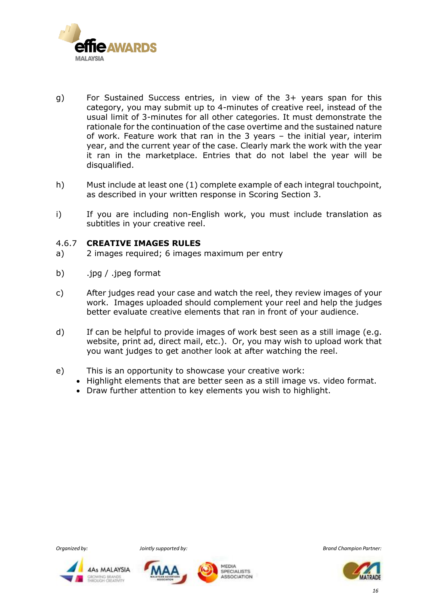

- g) For Sustained Success entries, in view of the 3+ years span for this category, you may submit up to 4-minutes of creative reel, instead of the usual limit of 3-minutes for all other categories. It must demonstrate the rationale for the continuation of the case overtime and the sustained nature of work. Feature work that ran in the 3 years – the initial year, interim year, and the current year of the case. Clearly mark the work with the year it ran in the marketplace. Entries that do not label the year will be disqualified.
- h) Must include at least one (1) complete example of each integral touchpoint, as described in your written response in Scoring Section 3.
- i) If you are including non-English work, you must include translation as subtitles in your creative reel.

#### 4.6.7 **CREATIVE IMAGES RULES**

- a) 2 images required; 6 images maximum per entry
- b) .jpg / .jpeg format
- c) After judges read your case and watch the reel, they review images of your work. Images uploaded should complement your reel and help the judges better evaluate creative elements that ran in front of your audience.
- d) If can be helpful to provide images of work best seen as a still image (e.g. website, print ad, direct mail, etc.). Or, you may wish to upload work that you want judges to get another look at after watching the reel.
- e) This is an opportunity to showcase your creative work:
	- Highlight elements that are better seen as a still image vs. video format.
	- Draw further attention to key elements you wish to highlight.









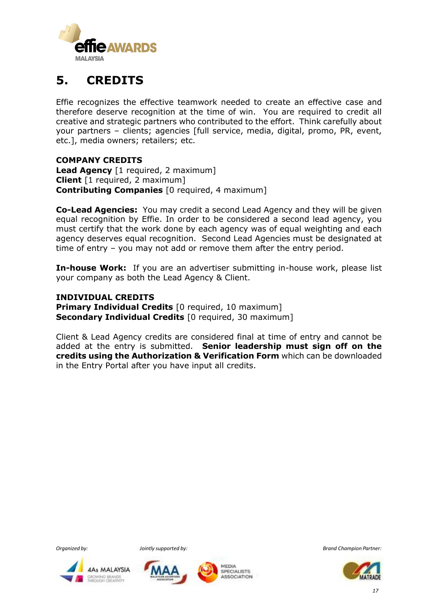

## **5. CREDITS**

Effie recognizes the effective teamwork needed to create an effective case and therefore deserve recognition at the time of win. You are required to credit all creative and strategic partners who contributed to the effort. Think carefully about your partners – clients; agencies [full service, media, digital, promo, PR, event, etc.], media owners; retailers; etc.

#### **COMPANY CREDITS**

**Lead Agency** [1 required, 2 maximum] **Client** [1 required, 2 maximum] **Contributing Companies** [0 required, 4 maximum]

**Co-Lead Agencies:** You may credit a second Lead Agency and they will be given equal recognition by Effie. In order to be considered a second lead agency, you must certify that the work done by each agency was of equal weighting and each agency deserves equal recognition. Second Lead Agencies must be designated at time of entry – you may not add or remove them after the entry period.

**In-house Work:** If you are an advertiser submitting in-house work, please list your company as both the Lead Agency & Client.

#### **INDIVIDUAL CREDITS**

**Primary Individual Credits** [0 required, 10 maximum] **Secondary Individual Credits** [0 required, 30 maximum]

Client & Lead Agency credits are considered final at time of entry and cannot be added at the entry is submitted. **Senior leadership must sign off on the credits using the Authorization & Verification Form** which can be downloaded in the Entry Portal after you have input all credits.







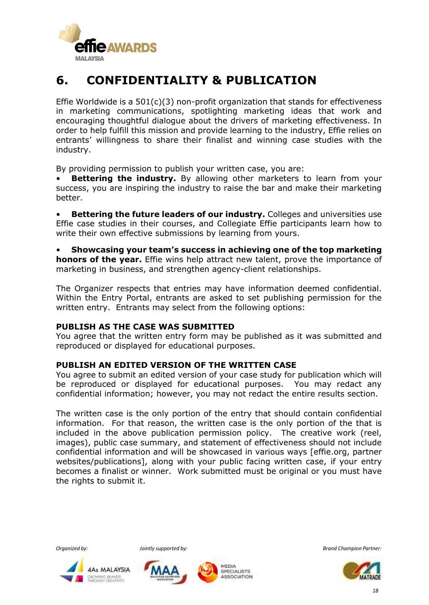

## **6. CONFIDENTIALITY & PUBLICATION**

Effie Worldwide is a  $501(c)(3)$  non-profit organization that stands for effectiveness in marketing communications, spotlighting marketing ideas that work and encouraging thoughtful dialogue about the drivers of marketing effectiveness. In order to help fulfill this mission and provide learning to the industry, Effie relies on entrants' willingness to share their finalist and winning case studies with the industry.

By providing permission to publish your written case, you are:

**Bettering the industry.** By allowing other marketers to learn from your success, you are inspiring the industry to raise the bar and make their marketing better.

• **Bettering the future leaders of our industry.** Colleges and universities use Effie case studies in their courses, and Collegiate Effie participants learn how to write their own effective submissions by learning from yours.

• **Showcasing your team's success in achieving one of the top marketing honors of the year.** Effie wins help attract new talent, prove the importance of marketing in business, and strengthen agency-client relationships.

The Organizer respects that entries may have information deemed confidential. Within the Entry Portal, entrants are asked to set publishing permission for the written entry. Entrants may select from the following options:

#### **PUBLISH AS THE CASE WAS SUBMITTED**

You agree that the written entry form may be published as it was submitted and reproduced or displayed for educational purposes.

#### **PUBLISH AN EDITED VERSION OF THE WRITTEN CASE**

You agree to submit an edited version of your case study for publication which will be reproduced or displayed for educational purposes. You may redact any confidential information; however, you may not redact the entire results section.

The written case is the only portion of the entry that should contain confidential information. For that reason, the written case is the only portion of the that is included in the above publication permission policy. The creative work (reel, images), public case summary, and statement of effectiveness should not include confidential information and will be showcased in various ways [effie.org, partner websites/publications], along with your public facing written case, if your entry becomes a finalist or winner. Work submitted must be original or you must have the rights to submit it.







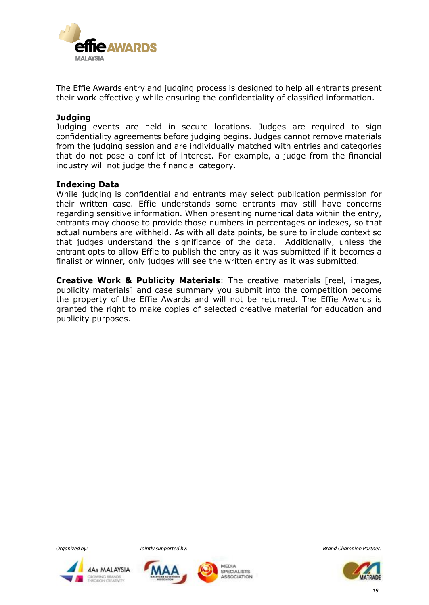

The Effie Awards entry and judging process is designed to help all entrants present their work effectively while ensuring the confidentiality of classified information.

#### **Judging**

Judging events are held in secure locations. Judges are required to sign confidentiality agreements before judging begins. Judges cannot remove materials from the judging session and are individually matched with entries and categories that do not pose a conflict of interest. For example, a judge from the financial industry will not judge the financial category.

#### **Indexing Data**

While judging is confidential and entrants may select publication permission for their written case. Effie understands some entrants may still have concerns regarding sensitive information. When presenting numerical data within the entry, entrants may choose to provide those numbers in percentages or indexes, so that actual numbers are withheld. As with all data points, be sure to include context so that judges understand the significance of the data. Additionally, unless the entrant opts to allow Effie to publish the entry as it was submitted if it becomes a finalist or winner, only judges will see the written entry as it was submitted.

**Creative Work & Publicity Materials**: The creative materials [reel, images, publicity materials] and case summary you submit into the competition become the property of the Effie Awards and will not be returned. The Effie Awards is granted the right to make copies of selected creative material for education and publicity purposes.







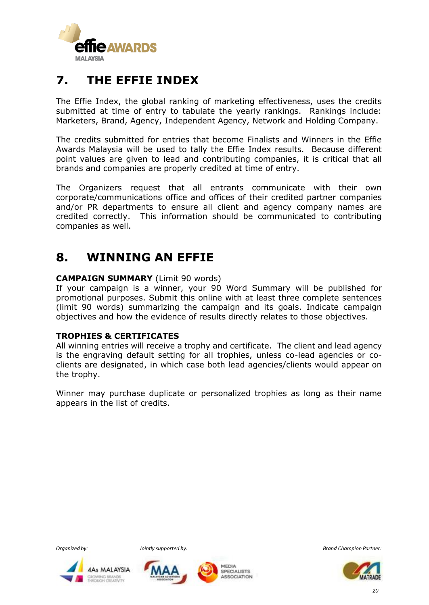

## **7. THE EFFIE INDEX**

The Effie Index, the global ranking of marketing effectiveness, uses the credits submitted at time of entry to tabulate the yearly rankings. Rankings include: Marketers, Brand, Agency, Independent Agency, Network and Holding Company.

The credits submitted for entries that become Finalists and Winners in the Effie Awards Malaysia will be used to tally the Effie Index results. Because different point values are given to lead and contributing companies, it is critical that all brands and companies are properly credited at time of entry.

The Organizers request that all entrants communicate with their own corporate/communications office and offices of their credited partner companies and/or PR departments to ensure all client and agency company names are credited correctly. This information should be communicated to contributing companies as well.

## **8. WINNING AN EFFIE**

#### **CAMPAIGN SUMMARY** (Limit 90 words)

If your campaign is a winner, your 90 Word Summary will be published for promotional purposes. Submit this online with at least three complete sentences (limit 90 words) summarizing the campaign and its goals. Indicate campaign objectives and how the evidence of results directly relates to those objectives.

#### **TROPHIES & CERTIFICATES**

All winning entries will receive a trophy and certificate. The client and lead agency is the engraving default setting for all trophies, unless co-lead agencies or coclients are designated, in which case both lead agencies/clients would appear on the trophy.

Winner may purchase duplicate or personalized trophies as long as their name appears in the list of credits.







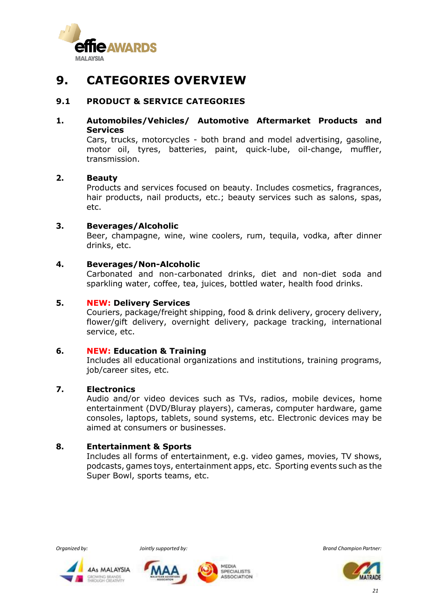

## **9. CATEGORIES OVERVIEW**

#### **9.1 PRODUCT & SERVICE CATEGORIES**

#### **1. Automobiles/Vehicles/ Automotive Aftermarket Products and Services**

Cars, trucks, motorcycles - both brand and model advertising, gasoline, motor oil, tyres, batteries, paint, quick-lube, oil-change, muffler, transmission.

#### **2. Beauty**

Products and services focused on beauty. Includes cosmetics, fragrances, hair products, nail products, etc.; beauty services such as salons, spas, etc.

#### **3. Beverages/Alcoholic**

Beer, champagne, wine, wine coolers, rum, tequila, vodka, after dinner drinks, etc.

#### **4. Beverages/Non-Alcoholic**

Carbonated and non-carbonated drinks, diet and non-diet soda and sparkling water, coffee, tea, juices, bottled water, health food drinks.

#### **5. NEW: Delivery Services**

Couriers, package/freight shipping, food & drink delivery, grocery delivery, flower/gift delivery, overnight delivery, package tracking, international service, etc.

#### **6. NEW: Education & Training**

Includes all educational organizations and institutions, training programs, job/career sites, etc.

#### **7. Electronics**

Audio and/or video devices such as TVs, radios, mobile devices, home entertainment (DVD/Bluray players), cameras, computer hardware, game consoles, laptops, tablets, sound systems, etc. Electronic devices may be aimed at consumers or businesses.

#### **8. Entertainment & Sports**

Includes all forms of entertainment, e.g. video games, movies, TV shows, podcasts, games toys, entertainment apps, etc. Sporting events such as the Super Bowl, sports teams, etc.









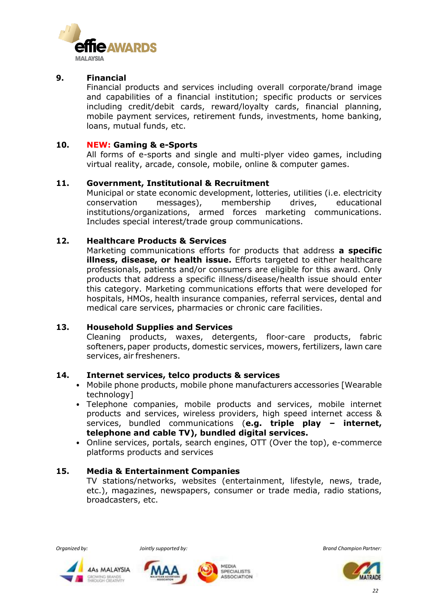

#### **9. Financial**

Financial products and services including overall corporate/brand image and capabilities of a financial institution; specific products or services including credit/debit cards, reward/loyalty cards, financial planning, mobile payment services, retirement funds, investments, home banking, loans, mutual funds, etc.

#### **10. NEW: Gaming & e-Sports**

All forms of e-sports and single and multi-plyer video games, including virtual reality, arcade, console, mobile, online & computer games.

#### **11. Government, Institutional & Recruitment**

Municipal or state economic development, lotteries, utilities (i.e. electricity conservation messages), membership drives, educational institutions/organizations, armed forces marketing communications. Includes special interest/trade group communications.

#### **12. Healthcare Products & Services**

Marketing communications efforts for products that address **a specific illness, disease, or health issue.** Efforts targeted to either healthcare professionals, patients and/or consumers are eligible for this award. Only products that address a specific illness/disease/health issue should enter this category. Marketing communications efforts that were developed for hospitals, HMOs, health insurance companies, referral services, dental and medical care services, pharmacies or chronic care facilities.

#### **13. Household Supplies and Services**

Cleaning products, waxes, detergents, floor-care products, fabric softeners, paper products, domestic services, mowers, fertilizers, lawn care services, air fresheners.

#### **14. Internet services, telco products & services**

- Mobile phone products, mobile phone manufacturers accessories [Wearable technology]
- Telephone companies, mobile products and services, mobile internet products and services, wireless providers, high speed internet access & services, bundled communications (**e.g. triple play – internet, telephone and cable TV), bundled digital services.**
- Online services, portals, search engines, OTT (Over the top), e-commerce platforms products and services

#### **15. Media & Entertainment Companies**

TV stations/networks, websites (entertainment, lifestyle, news, trade, etc.), magazines, newspapers, consumer or trade media, radio stations, broadcasters, etc.







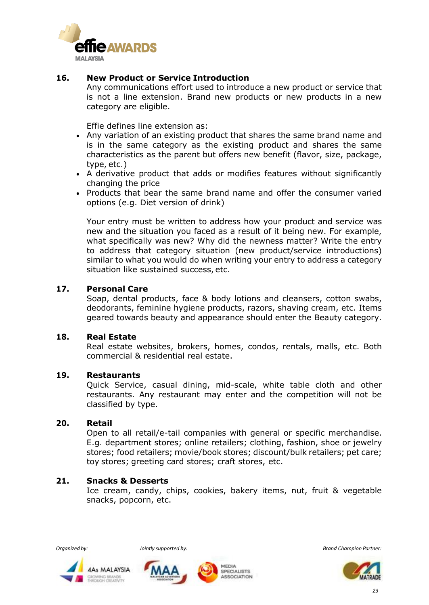

#### **16. New Product or Service Introduction**

Any communications effort used to introduce a new product or service that is not a line extension. Brand new products or new products in a new category are eligible.

Effie defines line extension as:

- Any variation of an existing product that shares the same brand name and is in the same category as the existing product and shares the same characteristics as the parent but offers new benefit (flavor, size, package, type, etc.)
- A derivative product that adds or modifies features without significantly changing the price
- Products that bear the same brand name and offer the consumer varied options (e.g. Diet version of drink)

Your entry must be written to address how your product and service was new and the situation you faced as a result of it being new. For example, what specifically was new? Why did the newness matter? Write the entry to address that category situation (new product/service introductions) similar to what you would do when writing your entry to address a category situation like sustained success, etc.

#### **17. Personal Care**

Soap, dental products, face & body lotions and cleansers, cotton swabs, deodorants, feminine hygiene products, razors, shaving cream, etc. Items geared towards beauty and appearance should enter the Beauty category.

#### **18. Real Estate**

Real estate websites, brokers, homes, condos, rentals, malls, etc. Both commercial & residential real estate.

#### **19. Restaurants**

Quick Service, casual dining, mid-scale, white table cloth and other restaurants. Any restaurant may enter and the competition will not be classified by type.

#### **20. [Retail](https://www.effie.org/case_studies/by_category/60)**

Open to all retail/e-tail companies with general or specific merchandise. E.g. department stores; online retailers; clothing, fashion, shoe or jewelry stores; food retailers; movie/book stores; discount/bulk retailers; pet care; toy stores; greeting card stores; craft stores, etc.

#### **21. Snacks & Desserts**

Ice cream, candy, chips, cookies, bakery items, nut, fruit & vegetable snacks, popcorn, etc.







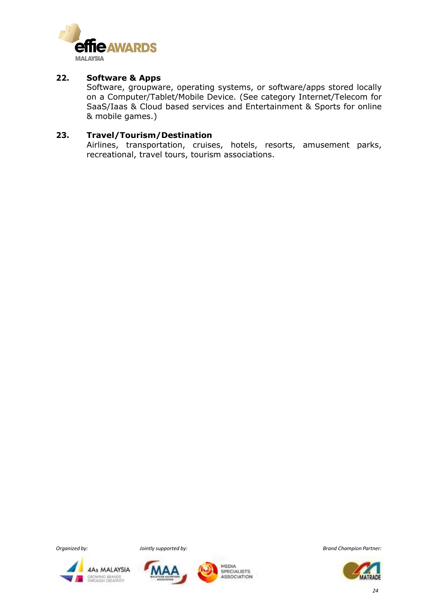

#### **22. Software & Apps**

Software, groupware, operating systems, or software/apps stored locally on a Computer/Tablet/Mobile Device. (See category Internet/Telecom for SaaS/Iaas & Cloud based services and Entertainment & Sports for online & mobile games.)

#### **23. Travel/Tourism/Destination**

Airlines, transportation, cruises, hotels, resorts, amusement parks, recreational, travel tours, tourism associations.







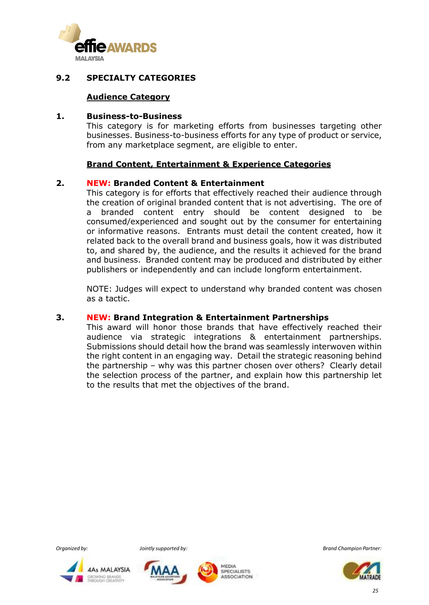

#### **9.2 SPECIALTY CATEGORIES**

#### **Audience Category**

#### **1. Business-to-Business**

This category is for marketing efforts from businesses targeting other businesses. Business-to-business efforts for any type of product or service, from any marketplace segment, are eligible to enter.

#### **Brand Content, Entertainment & Experience Categories**

#### **2. NEW: Branded Content & Entertainment**

This category is for efforts that effectively reached their audience through the creation of original branded content that is not advertising. The ore of a branded content entry should be content designed to be consumed/experienced and sought out by the consumer for entertaining or informative reasons. Entrants must detail the content created, how it related back to the overall brand and business goals, how it was distributed to, and shared by, the audience, and the results it achieved for the brand and business. Branded content may be produced and distributed by either publishers or independently and can include longform entertainment.

NOTE: Judges will expect to understand why branded content was chosen as a tactic.

#### **3. NEW: Brand Integration & Entertainment Partnerships**

This award will honor those brands that have effectively reached their audience via strategic integrations & entertainment partnerships. Submissions should detail how the brand was seamlessly interwoven within the right content in an engaging way. Detail the strategic reasoning behind the partnership – why was this partner chosen over others? Clearly detail the selection process of the partner, and explain how this partnership let to the results that met the objectives of the brand.







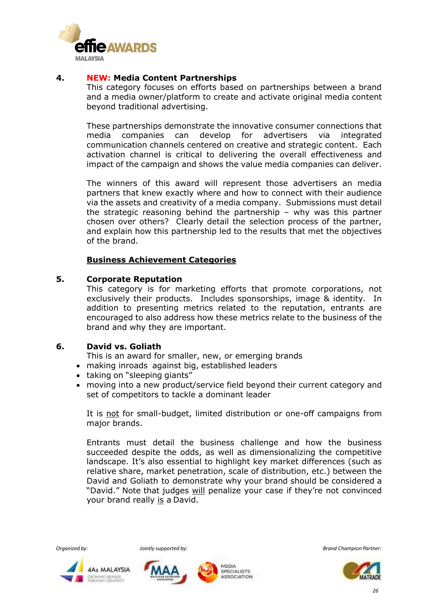

#### **4. NEW: Media Content Partnerships**

This category focuses on efforts based on partnerships between a brand and a media owner/platform to create and activate original media content beyond traditional advertising.

These partnerships demonstrate the innovative consumer connections that media companies can develop for advertisers via integrated communication channels centered on creative and strategic content. Each activation channel is critical to delivering the overall effectiveness and impact of the campaign and shows the value media companies can deliver.

The winners of this award will represent those advertisers an media partners that knew exactly where and how to connect with their audience via the assets and creativity of a media company. Submissions must detail the strategic reasoning behind the partnership – why was this partner chosen over others? Clearly detail the selection process of the partner, and explain how this partnership led to the results that met the objectives of the brand.

#### **Business Achievement Categories**

#### **5. Corporate Reputation**

This category is for marketing efforts that promote corporations, not exclusively their products. Includes sponsorships, image & identity. In addition to presenting metrics related to the reputation, entrants are encouraged to also address how these metrics relate to the business of the brand and why they are important.

#### **6. [David vs.](https://www.effie.org/case_studies/by_category/19) Goliath**

This is an award for smaller, new, or emerging brands

- making inroads against big, established leaders
- taking on "sleeping giants"
- moving into a new product/service field beyond their current category and set of competitors to tackle a dominant leader

It is not for small-budget, limited distribution or one-off campaigns from major brands.

Entrants must detail the business challenge and how the business succeeded despite the odds, as well as dimensionalizing the competitive landscape. It's also essential to highlight key market differences (such as relative share, market penetration, scale of distribution, etc.) between the David and Goliath to demonstrate why your brand should be considered a "David." Note that judges will penalize your case if they're not convinced your brand really is a David.







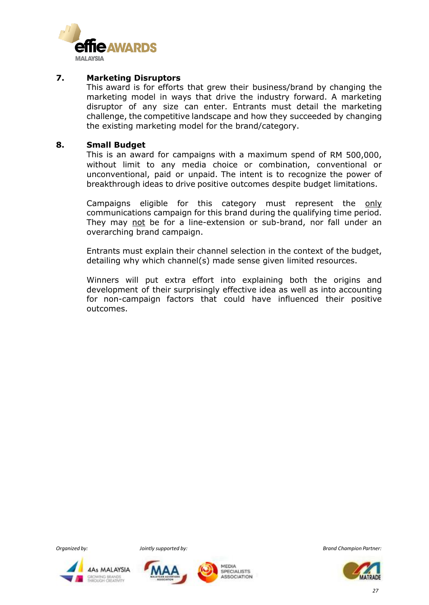

#### **7. Marketing Disruptors**

This award is for efforts that grew their business/brand by changing the marketing model in ways that drive the industry forward. A marketing disruptor of any size can enter. Entrants must detail the marketing challenge, the competitive landscape and how they succeeded by changing the existing marketing model for the brand/category.

#### **8. Small Budget**

This is an award for campaigns with a maximum spend of RM 500,000, without limit to any media choice or combination, conventional or unconventional, paid or unpaid. The intent is to recognize the power of breakthrough ideas to drive positive outcomes despite budget limitations.

Campaigns eligible for this category must represent the only communications campaign for this brand during the qualifying time period. They may not be for a line-extension or sub-brand, nor fall under an overarching brand campaign.

Entrants must explain their channel selection in the context of the budget, detailing why which channel(s) made sense given limited resources.

Winners will put extra effort into explaining both the origins and development of their surprisingly effective idea as well as into accounting for non-campaign factors that could have influenced their positive outcomes.







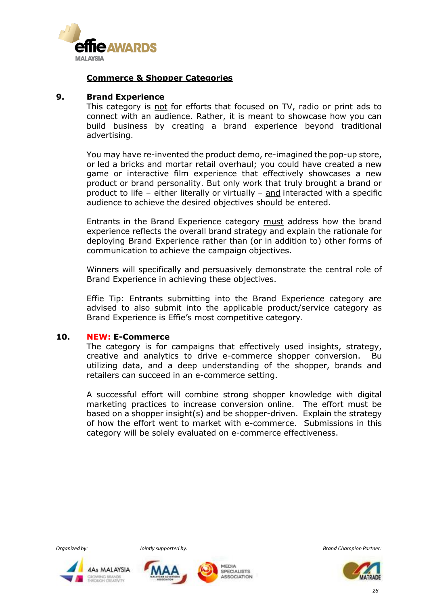

#### **Commerce & Shopper Categories**

#### **9. Brand Experience**

This category is not for efforts that focused on TV, radio or print ads to connect with an audience. Rather, it is meant to showcase how you can build business by creating a brand experience beyond traditional advertising.

You may have re-invented the product demo, re-imagined the pop-up store, or led a bricks and mortar retail overhaul; you could have created a new game or interactive film experience that effectively showcases a new product or brand personality. But only work that truly brought a brand or product to life – either literally or virtually – and interacted with a specific audience to achieve the desired objectives should be entered.

Entrants in the Brand Experience category must address how the brand experience reflects the overall brand strategy and explain the rationale for deploying Brand Experience rather than (or in addition to) other forms of communication to achieve the campaign objectives.

Winners will specifically and persuasively demonstrate the central role of Brand Experience in achieving these objectives.

Effie Tip: Entrants submitting into the Brand Experience category are advised to also submit into the applicable product/service category as Brand Experience is Effie's most competitive category.

#### **10. NEW: E-Commerce**

The category is for campaigns that effectively used insights, strategy, creative and analytics to drive e-commerce shopper conversion. Bu utilizing data, and a deep understanding of the shopper, brands and retailers can succeed in an e-commerce setting.

A successful effort will combine strong shopper knowledge with digital marketing practices to increase conversion online. The effort must be based on a shopper insight(s) and be shopper-driven. Explain the strategy of how the effort went to market with e-commerce. Submissions in this category will be solely evaluated on e-commerce effectiveness.







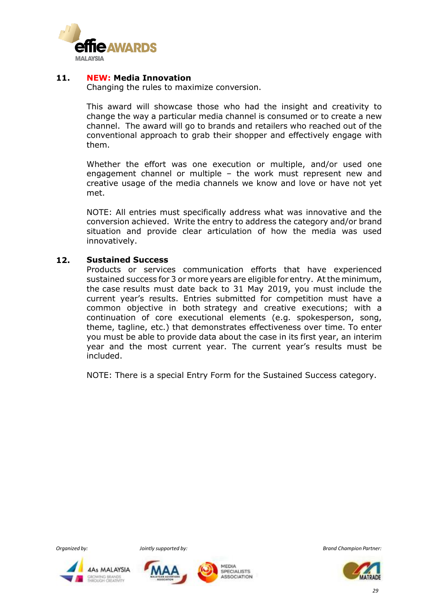

#### **11. NEW: Media Innovation**

Changing the rules to maximize conversion.

This award will showcase those who had the insight and creativity to change the way a particular media channel is consumed or to create a new channel. The award will go to brands and retailers who reached out of the conventional approach to grab their shopper and effectively engage with them.

Whether the effort was one execution or multiple, and/or used one engagement channel or multiple – the work must represent new and creative usage of the media channels we know and love or have not yet met.

NOTE: All entries must specifically address what was innovative and the conversion achieved. Write the entry to address the category and/or brand situation and provide clear articulation of how the media was used innovatively.

#### **12. Sustained Success**

Products or services communication efforts that have experienced sustained success for 3 or more years are eligible for entry. At the minimum, the case results must date back to 31 May 2019, you must include the current year's results. Entries submitted for competition must have a common objective in both strategy and creative executions; with a continuation of core executional elements (e.g. spokesperson, song, theme, tagline, etc.) that demonstrates effectiveness over time. To enter you must be able to provide data about the case in its first year, an interim year and the most current year. The current year's results must be included.

NOTE: There is a special Entry Form for the Sustained Success category.







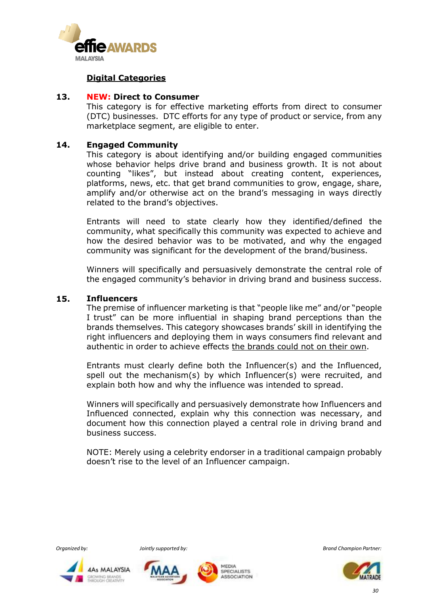

#### **Digital Categories**

#### **13. NEW: Direct to Consumer**

This category is for effective marketing efforts from direct to consumer (DTC) businesses. DTC efforts for any type of product or service, from any marketplace segment, are eligible to enter.

#### **14. [Engaged Community](https://www.effie.org/case_studies/by_category/104)**

This category is about identifying and/or building engaged communities whose behavior helps drive brand and business growth. It is not about counting "likes", but instead about creating content, experiences, platforms, news, etc. that get brand communities to grow, engage, share, amplify and/or otherwise act on the brand's messaging in ways directly related to the brand's objectives.

Entrants will need to state clearly how they identified/defined the community, what specifically this community was expected to achieve and how the desired behavior was to be motivated, and why the engaged community was significant for the development of the brand/business.

Winners will specifically and persuasively demonstrate the central role of the engaged community's behavior in driving brand and business success.

#### **15. Influencers**

The premise of influencer marketing is that "people like me" and/or "people I trust" can be more influential in shaping brand perceptions than the brands themselves. This category showcases brands' skill in identifying the right influencers and deploying them in ways consumers find relevant and authentic in order to achieve effects the brands could not on their own.

Entrants must clearly define both the Influencer(s) and the Influenced, spell out the mechanism(s) by which Influencer(s) were recruited, and explain both how and why the influence was intended to spread.

Winners will specifically and persuasively demonstrate how Influencers and Influenced connected, explain why this connection was necessary, and document how this connection played a central role in driving brand and business success.

NOTE: Merely using a celebrity endorser in a traditional campaign probably doesn't rise to the level of an Influencer campaign.







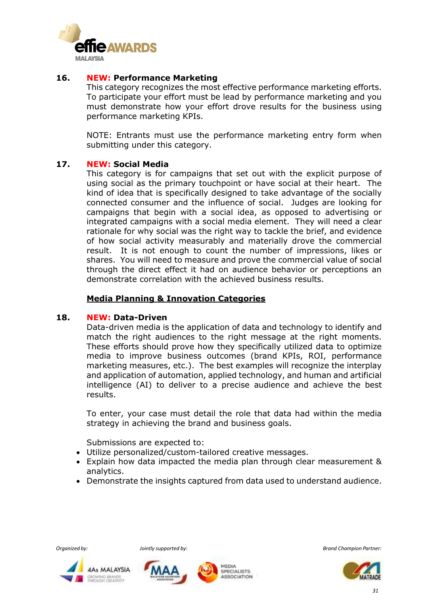

#### **16. NEW: Performance Marketing**

This category recognizes the most effective performance marketing efforts. To participate your effort must be lead by performance marketing and you must demonstrate how your effort drove results for the business using performance marketing KPIs.

NOTE: Entrants must use the performance marketing entry form when submitting under this category.

#### **17. NEW: Social Media**

This category is for campaigns that set out with the explicit purpose of using social as the primary touchpoint or have social at their heart. The kind of idea that is specifically designed to take advantage of the socially connected consumer and the influence of social. Judges are looking for campaigns that begin with a social idea, as opposed to advertising or integrated campaigns with a social media element. They will need a clear rationale for why social was the right way to tackle the brief, and evidence of how social activity measurably and materially drove the commercial result. It is not enough to count the number of impressions, likes or shares. You will need to measure and prove the commercial value of social through the direct effect it had on audience behavior or perceptions an demonstrate correlation with the achieved business results.

#### **Media Planning & Innovation Categories**

#### **18. NEW: Data-Driven**

Data-driven media is the application of data and technology to identify and match the right audiences to the right message at the right moments. These efforts should prove how they specifically utilized data to optimize media to improve business outcomes (brand KPIs, ROI, performance marketing measures, etc.). The best examples will recognize the interplay and application of automation, applied technology, and human and artificial intelligence (AI) to deliver to a precise audience and achieve the best results.

To enter, your case must detail the role that data had within the media strategy in achieving the brand and business goals.

Submissions are expected to:

- Utilize personalized/custom-tailored creative messages.
- Explain how data impacted the media plan through clear measurement & analytics.
- Demonstrate the insights captured from data used to understand audience.







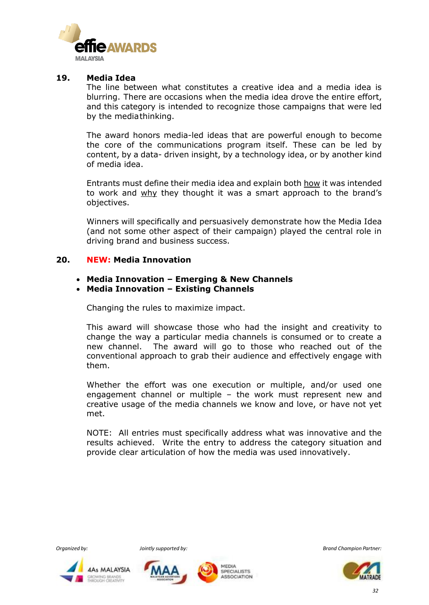

#### **19. Media Idea**

The line between what constitutes a creative idea and a media idea is blurring. There are occasions when the media idea drove the entire effort, and this category is intended to recognize those campaigns that were led by the mediathinking.

The award honors media-led ideas that are powerful enough to become the core of the communications program itself. These can be led by content, by a data- driven insight, by a technology idea, or by another kind of media idea.

Entrants must define their media idea and explain both how it was intended to work and why they thought it was a smart approach to the brand's objectives.

Winners will specifically and persuasively demonstrate how the Media Idea (and not some other aspect of their campaign) played the central role in driving brand and business success.

#### **20. NEW: Media Innovation**

- **Media Innovation – Emerging & New Channels**
- **Media Innovation – Existing Channels**

Changing the rules to maximize impact.

This award will showcase those who had the insight and creativity to change the way a particular media channels is consumed or to create a new channel. The award will go to those who reached out of the conventional approach to grab their audience and effectively engage with them.

Whether the effort was one execution or multiple, and/or used one engagement channel or multiple – the work must represent new and creative usage of the media channels we know and love, or have not yet met.

NOTE: All entries must specifically address what was innovative and the results achieved. Write the entry to address the category situation and provide clear articulation of how the media was used innovatively.







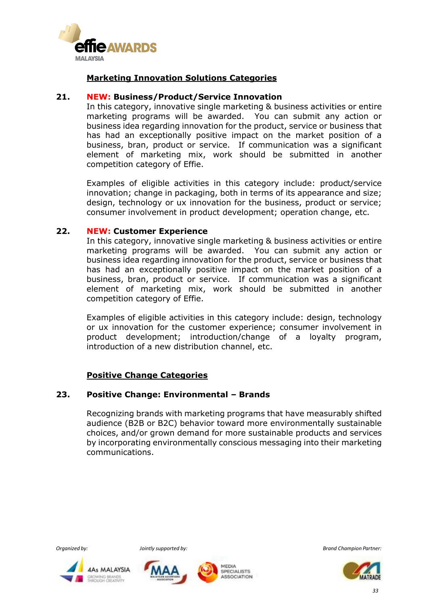

#### **Marketing Innovation Solutions Categories**

#### **21. NEW: Business/Product/Service Innovation**

In this category, innovative single marketing & business activities or entire marketing programs will be awarded. You can submit any action or business idea regarding innovation for the product, service or business that has had an exceptionally positive impact on the market position of a business, bran, product or service. If communication was a significant element of marketing mix, work should be submitted in another competition category of Effie.

Examples of eligible activities in this category include: product/service innovation; change in packaging, both in terms of its appearance and size; design, technology or ux innovation for the business, product or service; consumer involvement in product development; operation change, etc.

#### **22. NEW: Customer Experience**

In this category, innovative single marketing & business activities or entire marketing programs will be awarded. You can submit any action or business idea regarding innovation for the product, service or business that has had an exceptionally positive impact on the market position of a business, bran, product or service. If communication was a significant element of marketing mix, work should be submitted in another competition category of Effie.

Examples of eligible activities in this category include: design, technology or ux innovation for the customer experience; consumer involvement in product development; introduction/change of a loyalty program, introduction of a new distribution channel, etc.

#### **Positive Change Categories**

#### **23. Positive Change: Environmental – Brands**

Recognizing brands with marketing programs that have measurably shifted audience (B2B or B2C) behavior toward more environmentally sustainable choices, and/or grown demand for more sustainable products and services by incorporating environmentally conscious messaging into their marketing communications.









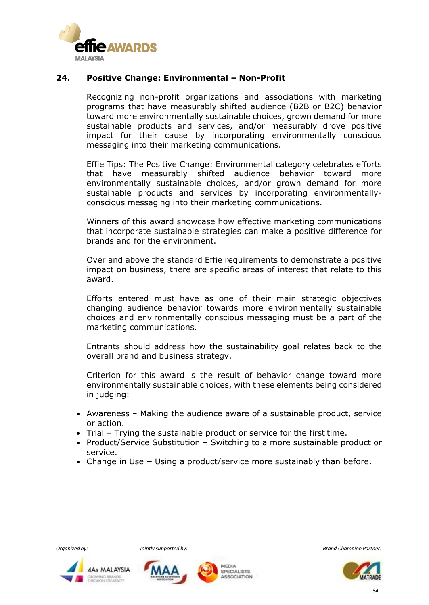

#### **24. Positive Change: Environmental – Non-Profit**

Recognizing non-profit organizations and associations with marketing programs that have measurably shifted audience (B2B or B2C) behavior toward more environmentally sustainable choices, grown demand for more sustainable products and services, and/or measurably drove positive impact for their cause by incorporating environmentally conscious messaging into their marketing communications.

Effie Tips: The Positive Change: Environmental category celebrates efforts that have measurably shifted audience behavior toward more environmentally sustainable choices, and/or grown demand for more sustainable products and services by incorporating environmentallyconscious messaging into their marketing communications.

Winners of this award showcase how effective marketing communications that incorporate sustainable strategies can make a positive difference for brands and for the environment.

Over and above the standard Effie requirements to demonstrate a positive impact on business, there are specific areas of interest that relate to this award.

Efforts entered must have as one of their main strategic objectives changing audience behavior towards more environmentally sustainable choices and environmentally conscious messaging must be a part of the marketing communications.

Entrants should address how the sustainability goal relates back to the overall brand and business strategy.

Criterion for this award is the result of behavior change toward more environmentally sustainable choices, with these elements being considered in judging:

- Awareness Making the audience aware of a sustainable product, service or action.
- Trial Trying the sustainable product or service for the first time.
- Product/Service Substitution Switching to a more sustainable product or service.
- Change in Use **–** Using a product/service more sustainably than before.









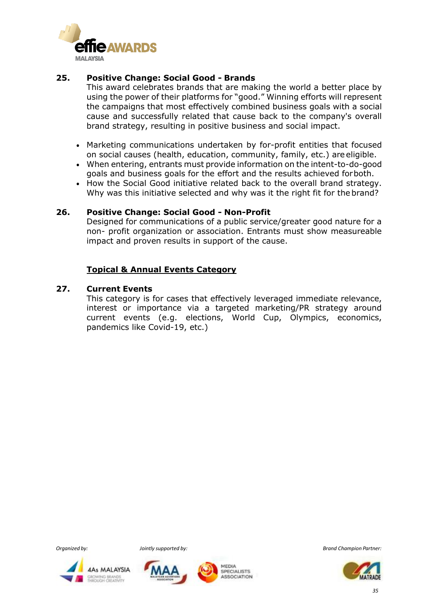

#### **25. Positive Change: Social Good - [Brands](https://www.effie.org/case_studies/by_category/82)**

This award celebrates brands that are making the world a better place by using the power of their platforms for "good." Winning efforts will represent the campaigns that most effectively combined business goals with a social cause and successfully related that cause back to the company's overall brand strategy, resulting in positive business and social impact.

- Marketing communications undertaken by for-profit entities that focused on social causes (health, education, community, family, etc.) are eligible.
- When entering, entrants must provide information on the intent-to-do-good goals and business goals for the effort and the results achieved forboth.
- How the Social Good initiative related back to the overall brand strategy. Why was this initiative selected and why was it the right fit for thebrand?

#### **26. Positive Change: Social Good - [Non-Profit](https://www.effie.org/case_studies/by_category/83)**

Designed for communications of a public service/greater good nature for a non- profit organization or association. Entrants must show measureable impact and proven results in support of the cause.

#### **Topical & Annual Events Category**

#### **27. Current Events**

This category is for cases that effectively leveraged immediate relevance, interest or importance via a targeted marketing/PR strategy around current events (e.g. elections, World Cup, Olympics, economics, pandemics like Covid-19, etc.)







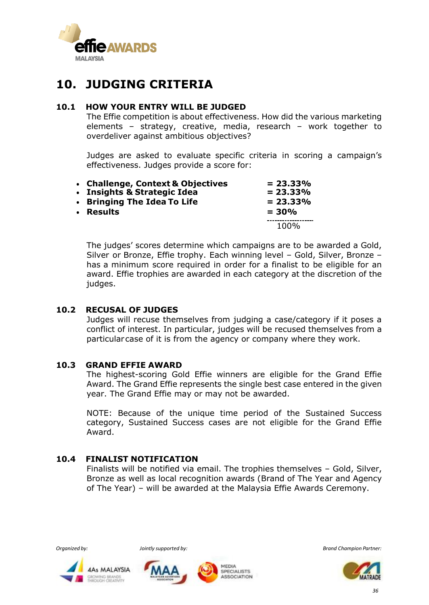

## **10. JUDGING CRITERIA**

#### **10.1 HOW YOUR ENTRY WILL BE JUDGED**

The Effie competition is about effectiveness. How did the various marketing elements – strategy, creative, media, research – work together to overdeliver against ambitious objectives?

Judges are asked to evaluate specific criteria in scoring a campaign's effectiveness. Judges provide a score for:

| • Challenge, Context & Objectives<br>• Insights & Strategic Idea | $= 23.33\%$<br>$= 23.33%$ |
|------------------------------------------------------------------|---------------------------|
| • Bringing The Idea To Life                                      | $= 23.33%$                |
| • Results                                                        | $= 30\%$                  |
|                                                                  | 100%                      |

The judges' scores determine which campaigns are to be awarded a Gold, Silver or Bronze, Effie trophy. Each winning level – Gold, Silver, Bronze – has a minimum score required in order for a finalist to be eligible for an award. Effie trophies are awarded in each category at the discretion of the judges.

#### **10.2 RECUSAL OF JUDGES**

Judges will recuse themselves from judging a case/category if it poses a conflict of interest. In particular, judges will be recused themselves from a particularcase of it is from the agency or company where they work.

#### **10.3 GRAND EFFIE AWARD**

The highest-scoring Gold Effie winners are eligible for the Grand Effie Award. The Grand Effie represents the single best case entered in the given year. The Grand Effie may or may not be awarded.

NOTE: Because of the unique time period of the Sustained Success category, Sustained Success cases are not eligible for the Grand Effie Award.

#### **10.4 FINALIST NOTIFICATION**

Finalists will be notified via email. The trophies themselves – Gold, Silver, Bronze as well as local recognition awards (Brand of The Year and Agency of The Year) – will be awarded at the Malaysia Effie Awards Ceremony.



**WING BRANDS**<br>OUDS CREATIVITY





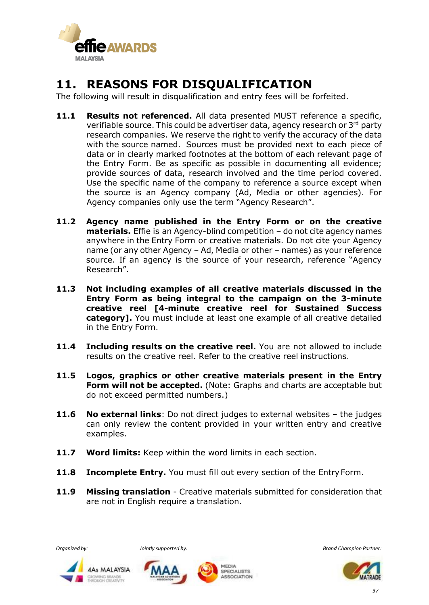

## **11. REASONS FOR DISQUALIFICATION**

The following will result in disqualification and entry fees will be forfeited.

- **11.1 Results not referenced.** All data presented MUST reference a specific, verifiable source. This could be advertiser data, agency research or 3<sup>rd</sup> party research companies. We reserve the right to verify the accuracy of the data with the source named. Sources must be provided next to each piece of data or in clearly marked footnotes at the bottom of each relevant page of the Entry Form. Be as specific as possible in documenting all evidence; provide sources of data, research involved and the time period covered. Use the specific name of the company to reference a source except when the source is an Agency company (Ad, Media or other agencies). For Agency companies only use the term "Agency Research".
- **11.2 Agency name published in the Entry Form or on the creative materials.** Effie is an Agency-blind competition - do not cite agency names anywhere in the Entry Form or creative materials. Do not cite your Agency name (or any other Agency – Ad, Media or other – names) as your reference source. If an agency is the source of your research, reference "Agency Research".
- **11.3 Not including examples of all creative materials discussed in the Entry Form as being integral to the campaign on the 3-minute creative reel [4-minute creative reel for Sustained Success category].** You must include at least one example of all creative detailed in the Entry Form.
- **11.4 Including results on the creative reel.** You are not allowed to include results on the creative reel. Refer to the creative reel instructions.
- **11.5 Logos, graphics or other creative materials present in the Entry Form will not be accepted.** (Note: Graphs and charts are acceptable but do not exceed permitted numbers.)
- **11.6 No external links**: Do not direct judges to external websites the judges can only review the content provided in your written entry and creative examples.
- **11.7 Word limits:** Keep within the word limits in each section.
- **11.8 Incomplete Entry.** You must fill out every section of the Entry Form.
- **11.9 Missing translation**  Creative materials submitted for consideration that are not in English require a translation.







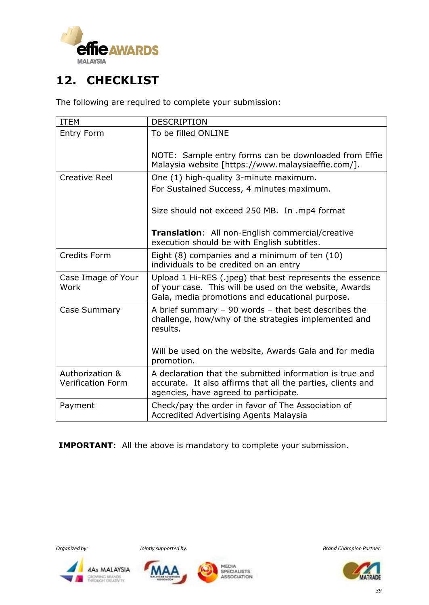

## **12. CHECKLIST**

The following are required to complete your submission:

| <b>ITEM</b>                                 | <b>DESCRIPTION</b>                                                                                                                                                    |
|---------------------------------------------|-----------------------------------------------------------------------------------------------------------------------------------------------------------------------|
| <b>Entry Form</b>                           | To be filled ONLINE                                                                                                                                                   |
|                                             | NOTE: Sample entry forms can be downloaded from Effie<br>Malaysia website [https://www.malaysiaeffie.com/].                                                           |
| <b>Creative Reel</b>                        | One (1) high-quality 3-minute maximum.                                                                                                                                |
|                                             | For Sustained Success, 4 minutes maximum.                                                                                                                             |
|                                             | Size should not exceed 250 MB. In .mp4 format                                                                                                                         |
|                                             | Translation: All non-English commercial/creative<br>execution should be with English subtitles.                                                                       |
| <b>Credits Form</b>                         | Eight (8) companies and a minimum of ten (10)<br>individuals to be credited on an entry                                                                               |
| Case Image of Your<br>Work                  | Upload 1 Hi-RES (.jpeg) that best represents the essence<br>of your case. This will be used on the website, Awards<br>Gala, media promotions and educational purpose. |
| Case Summary                                | A brief summary $-90$ words $-$ that best describes the<br>challenge, how/why of the strategies implemented and<br>results.                                           |
|                                             | Will be used on the website, Awards Gala and for media<br>promotion.                                                                                                  |
| Authorization &<br><b>Verification Form</b> | A declaration that the submitted information is true and<br>accurate. It also affirms that all the parties, clients and<br>agencies, have agreed to participate.      |
| Payment                                     | Check/pay the order in favor of The Association of<br><b>Accredited Advertising Agents Malaysia</b>                                                                   |

**IMPORTANT**: All the above is mandatory to complete your submission.